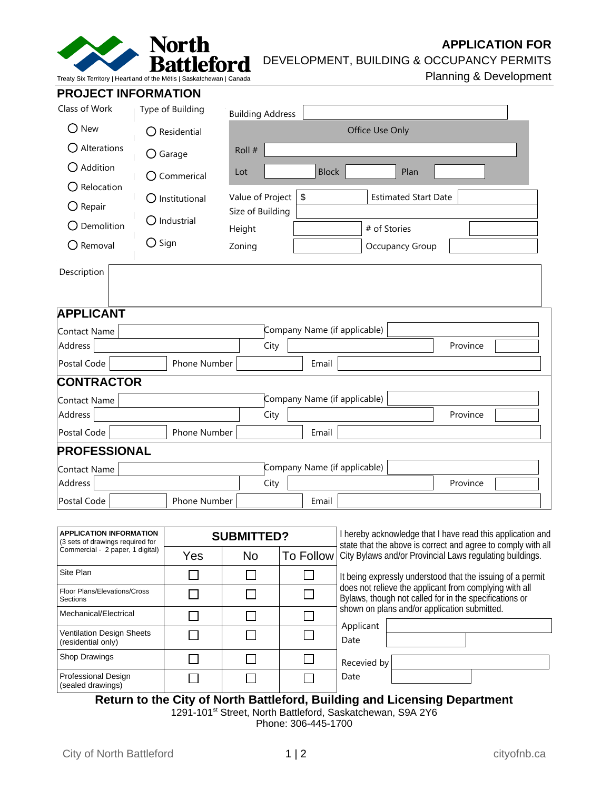

**APPLICATION FOR**

DEVELOPMENT, BUILDING & OCCUPANCY PERMITS

Planning & Development

| Class of Work                                                      | Type of Building         | <b>Building Address</b>                            |              |                                                            |                          |  |  |  |
|--------------------------------------------------------------------|--------------------------|----------------------------------------------------|--------------|------------------------------------------------------------|--------------------------|--|--|--|
| $\bigcirc$ New                                                     | $\bigcirc$ Residential   |                                                    |              | Office Use Only                                            |                          |  |  |  |
| $\bigcirc$ Alterations                                             | $\bigcirc$ Garage        | Roll #                                             |              |                                                            |                          |  |  |  |
| $O$ Addition                                                       |                          | Lot                                                | <b>Block</b> | Plan                                                       |                          |  |  |  |
| Relocation                                                         | Commerical<br>Ő          |                                                    |              |                                                            |                          |  |  |  |
| $\bigcirc$ Repair                                                  | $\bigcirc$ Institutional | Value of Project $\frac{1}{3}$<br>Size of Building |              | <b>Estimated Start Date</b>                                |                          |  |  |  |
| Demolition                                                         | $\bigcirc$ Industrial    | Height                                             |              | # of Stories                                               |                          |  |  |  |
| $\bigcirc$ Removal                                                 | $\bigcirc$ Sign          | Zoning                                             |              | Occupancy Group                                            |                          |  |  |  |
| <b>APPLICANT</b>                                                   |                          |                                                    |              |                                                            |                          |  |  |  |
| Company Name (if applicable)<br>Contact Name                       |                          |                                                    |              |                                                            |                          |  |  |  |
| Address                                                            |                          | City                                               |              | Province                                                   | I                        |  |  |  |
| Postal Code                                                        | Phone Number             |                                                    | Email        |                                                            |                          |  |  |  |
| <b>CONTRACTOR</b>                                                  |                          |                                                    |              |                                                            |                          |  |  |  |
| <b>Contact Name</b>                                                |                          |                                                    |              | Company Name (if applicable)                               |                          |  |  |  |
| Address                                                            |                          | City                                               |              | Province                                                   | $\overline{\phantom{0}}$ |  |  |  |
| Postal Code                                                        | Phone Number             |                                                    | Email        |                                                            |                          |  |  |  |
| <b>PROFESSIONAL</b>                                                |                          |                                                    |              |                                                            |                          |  |  |  |
| <b>Contact Name</b>                                                |                          |                                                    |              | Company Name (if applicable)                               |                          |  |  |  |
| Address                                                            |                          | City                                               |              | Province                                                   | I                        |  |  |  |
| Postal Code                                                        | Phone Number             |                                                    | Email        |                                                            |                          |  |  |  |
| <b>APPLICATION INFORMATION</b><br>13 sets of drawings required for |                          | <b>SUBMITTED?</b>                                  |              | I hereby acknowledge that I have read this application and |                          |  |  |  |

| Commercial - 2 paper, 1 digital)<br>City Bylaws and/or Provincial Laws regulating buildings.<br>To Follow<br>Yes<br>N <sub>0</sub><br>Site Plan<br>does not relieve the applicant from complying with all<br>Floor Plans/Elevations/Cross<br>Bylaws, though not called for in the specifications or<br>Sections<br>shown on plans and/or application submitted.<br>Mechanical/Electrical<br>Applicant<br><b>Ventilation Design Sheets</b><br>Date<br>(residential only) | AFFLICATION INFORMATION<br>(3 sets of drawings required for | SUBMITTED? |  |  | THELEDY ACKHOWIEUGE THAT FHAVE FEAU THIS APPIICATION AND<br>state that the above is correct and agree to comply with all |  |
|-------------------------------------------------------------------------------------------------------------------------------------------------------------------------------------------------------------------------------------------------------------------------------------------------------------------------------------------------------------------------------------------------------------------------------------------------------------------------|-------------------------------------------------------------|------------|--|--|--------------------------------------------------------------------------------------------------------------------------|--|
|                                                                                                                                                                                                                                                                                                                                                                                                                                                                         |                                                             |            |  |  |                                                                                                                          |  |
|                                                                                                                                                                                                                                                                                                                                                                                                                                                                         |                                                             |            |  |  | It being expressly understood that the issuing of a permit                                                               |  |
|                                                                                                                                                                                                                                                                                                                                                                                                                                                                         |                                                             |            |  |  |                                                                                                                          |  |
|                                                                                                                                                                                                                                                                                                                                                                                                                                                                         |                                                             |            |  |  |                                                                                                                          |  |
|                                                                                                                                                                                                                                                                                                                                                                                                                                                                         |                                                             |            |  |  |                                                                                                                          |  |
| Shop Drawings<br>Recevied by                                                                                                                                                                                                                                                                                                                                                                                                                                            |                                                             |            |  |  |                                                                                                                          |  |
| Professional Design<br>Date<br>(sealed drawings)                                                                                                                                                                                                                                                                                                                                                                                                                        |                                                             |            |  |  |                                                                                                                          |  |

## **Return to the City of North Battleford, Building and Licensing Department**

1291-101<sup>st</sup> Street, North Battleford, Saskatchewan, S9A 2Y6 Phone: 306-445-1700